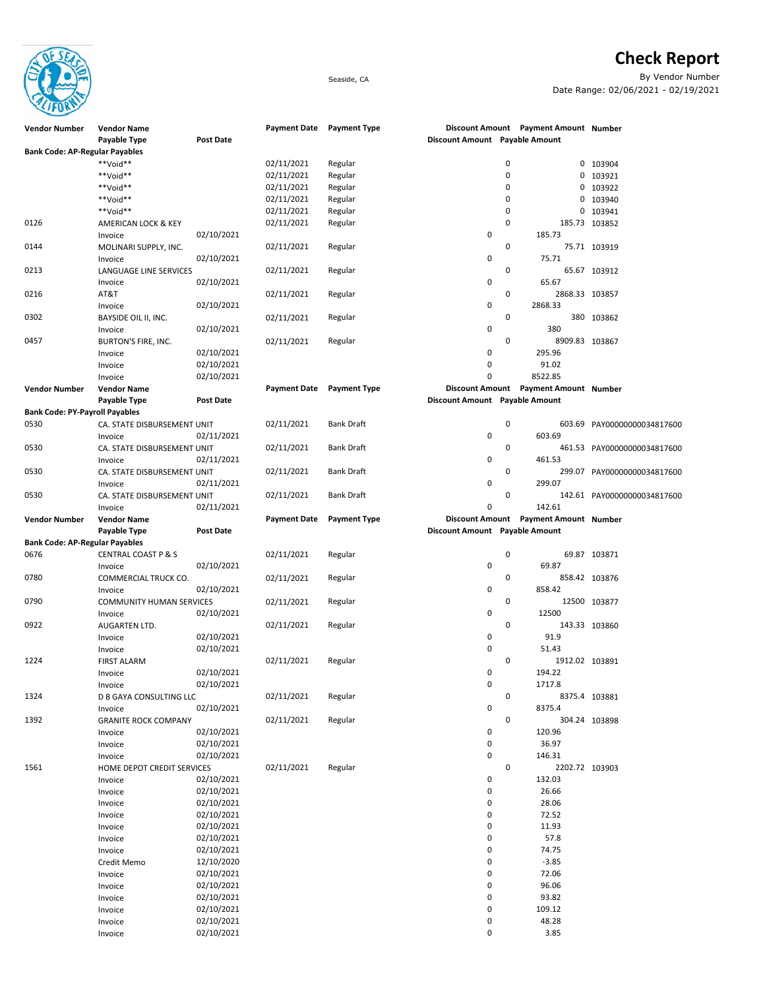**Check Report**



Seaside, CA By Vendor Number Date Range: 02/06/2021 - 02/19/2021

| <b>Vendor Number</b>                  | <b>Vendor Name</b>              |                  |                     | Payment Date Payment Type |                                |   | Discount Amount Payment Amount Number |                             |
|---------------------------------------|---------------------------------|------------------|---------------------|---------------------------|--------------------------------|---|---------------------------------------|-----------------------------|
|                                       | Payable Type                    | <b>Post Date</b> |                     |                           | Discount Amount Payable Amount |   |                                       |                             |
| <b>Bank Code: AP-Regular Payables</b> |                                 |                  |                     |                           |                                |   |                                       |                             |
|                                       | **Void**                        |                  | 02/11/2021          | Regular                   |                                | 0 |                                       | 0 103904                    |
|                                       | **Void**                        |                  | 02/11/2021          | Regular                   |                                | 0 |                                       | 0 103921                    |
|                                       | **Void**                        |                  | 02/11/2021          | Regular                   |                                | 0 |                                       | 0 103922                    |
|                                       | **Void**                        |                  | 02/11/2021          | Regular                   |                                | 0 |                                       | 0 103940                    |
|                                       | **Void**                        |                  | 02/11/2021          | Regular                   |                                | 0 |                                       | 0 103941                    |
| 0126                                  | AMERICAN LOCK & KEY             |                  | 02/11/2021          | Regular                   |                                | 0 |                                       | 185.73 103852               |
|                                       | Invoice                         | 02/10/2021       |                     |                           | 0                              |   | 185.73                                |                             |
| 0144                                  | MOLINARI SUPPLY, INC.           |                  | 02/11/2021          | Regular                   |                                | 0 |                                       | 75.71 103919                |
|                                       | Invoice                         | 02/10/2021       |                     |                           | 0                              |   | 75.71                                 |                             |
| 0213                                  | LANGUAGE LINE SERVICES          |                  | 02/11/2021          | Regular                   |                                | 0 |                                       | 65.67 103912                |
|                                       | Invoice                         | 02/10/2021       |                     |                           | 0                              |   | 65.67                                 |                             |
| 0216                                  | AT&T                            |                  | 02/11/2021          | Regular                   |                                | 0 | 2868.33 103857                        |                             |
|                                       | Invoice                         | 02/10/2021       |                     |                           | 0                              |   | 2868.33                               |                             |
| 0302                                  | BAYSIDE OIL II, INC.            |                  | 02/11/2021          | Regular                   |                                | 0 |                                       | 380 103862                  |
|                                       | Invoice                         | 02/10/2021       |                     |                           | 0                              |   | 380                                   |                             |
| 0457                                  | BURTON'S FIRE, INC.             |                  | 02/11/2021          | Regular                   |                                | 0 | 8909.83 103867                        |                             |
|                                       | Invoice                         | 02/10/2021       |                     |                           | 0                              |   | 295.96                                |                             |
|                                       | Invoice                         | 02/10/2021       |                     |                           | 0                              |   | 91.02                                 |                             |
|                                       | Invoice                         | 02/10/2021       |                     |                           | 0                              |   | 8522.85                               |                             |
| <b>Vendor Number</b>                  | <b>Vendor Name</b>              |                  | <b>Payment Date</b> | <b>Payment Type</b>       |                                |   | Discount Amount Payment Amount Number |                             |
|                                       | Payable Type                    | Post Date        |                     |                           | Discount Amount Payable Amount |   |                                       |                             |
| <b>Bank Code: PY-Payroll Payables</b> |                                 |                  |                     |                           |                                |   |                                       |                             |
| 0530                                  | CA. STATE DISBURSEMENT UNIT     |                  | 02/11/2021          | <b>Bank Draft</b>         |                                | 0 |                                       | 603.69 PAY00000000034817600 |
|                                       | Invoice                         | 02/11/2021       |                     |                           | 0                              |   | 603.69                                |                             |
| 0530                                  | CA. STATE DISBURSEMENT UNIT     |                  | 02/11/2021          | <b>Bank Draft</b>         |                                | 0 |                                       | 461.53 PAY00000000034817600 |
|                                       | Invoice                         | 02/11/2021       |                     |                           | 0                              |   | 461.53                                |                             |
| 0530                                  | CA. STATE DISBURSEMENT UNIT     |                  | 02/11/2021          | <b>Bank Draft</b>         |                                | 0 |                                       | 299.07 PAY00000000034817600 |
|                                       | Invoice                         | 02/11/2021       |                     |                           | 0                              |   | 299.07                                |                             |
| 0530                                  | CA. STATE DISBURSEMENT UNIT     |                  | 02/11/2021          | <b>Bank Draft</b>         |                                | 0 |                                       | 142.61 PAY00000000034817600 |
|                                       | Invoice                         | 02/11/2021       |                     |                           | 0                              |   | 142.61                                |                             |
| <b>Vendor Number</b>                  | <b>Vendor Name</b>              |                  | <b>Payment Date</b> | <b>Payment Type</b>       |                                |   | Discount Amount Payment Amount Number |                             |
|                                       | Payable Type                    | Post Date        |                     |                           | Discount Amount Payable Amount |   |                                       |                             |
| <b>Bank Code: AP-Regular Payables</b> |                                 |                  |                     |                           |                                |   |                                       |                             |
| 0676                                  | <b>CENTRAL COAST P &amp; S</b>  |                  | 02/11/2021          | Regular                   |                                | 0 |                                       | 69.87 103871                |
|                                       | Invoice                         | 02/10/2021       |                     |                           | 0                              |   | 69.87                                 |                             |
| 0780                                  | COMMERCIAL TRUCK CO.            |                  | 02/11/2021          | Regular                   |                                | 0 |                                       | 858.42 103876               |
|                                       | Invoice                         | 02/10/2021       |                     |                           | 0                              |   | 858.42                                |                             |
| 0790                                  | <b>COMMUNITY HUMAN SERVICES</b> |                  | 02/11/2021          | Regular                   |                                | 0 |                                       | 12500 103877                |
|                                       | Invoice                         | 02/10/2021       |                     |                           | 0                              |   | 12500                                 |                             |
| 0922                                  | AUGARTEN LTD.                   |                  | 02/11/2021          | Regular                   |                                | 0 |                                       | 143.33 103860               |
|                                       | Invoice                         | 02/10/2021       |                     |                           | 0                              |   | 91.9                                  |                             |
|                                       | Invoice                         | 02/10/2021       |                     |                           | 0                              |   | 51.43                                 |                             |
| 1224                                  | <b>FIRST ALARM</b>              |                  | 02/11/2021          | Regular                   |                                | 0 | 1912.02 103891                        |                             |
|                                       | Invoice                         | 02/10/2021       |                     |                           | 0                              |   | 194.22                                |                             |
|                                       | Invoice                         | 02/10/2021       |                     |                           | 0                              |   | 1717.8                                |                             |
| 1324                                  | <b>D B GAYA CONSULTING LLC</b>  |                  | 02/11/2021          | Regular                   |                                | 0 |                                       | 8375.4 103881               |
|                                       | Invoice                         | 02/10/2021       |                     |                           | 0                              |   | 8375.4                                |                             |
| 1392                                  | <b>GRANITE ROCK COMPANY</b>     |                  | 02/11/2021          | Regular                   |                                | 0 |                                       | 304.24 103898               |
|                                       | Invoice                         | 02/10/2021       |                     |                           | 0                              |   | 120.96                                |                             |
|                                       | Invoice                         | 02/10/2021       |                     |                           | 0                              |   | 36.97                                 |                             |
|                                       | Invoice                         | 02/10/2021       |                     |                           | 0                              |   | 146.31                                |                             |
| 1561                                  | HOME DEPOT CREDIT SERVICES      |                  | 02/11/2021          | Regular                   |                                | 0 | 2202.72 103903                        |                             |
|                                       | Invoice                         | 02/10/2021       |                     |                           | 0                              |   | 132.03                                |                             |
|                                       | Invoice                         | 02/10/2021       |                     |                           | 0                              |   | 26.66                                 |                             |
|                                       | Invoice                         | 02/10/2021       |                     |                           | 0                              |   | 28.06                                 |                             |
|                                       | Invoice                         | 02/10/2021       |                     |                           | 0                              |   | 72.52                                 |                             |
|                                       | Invoice                         | 02/10/2021       |                     |                           | 0                              |   | 11.93                                 |                             |
|                                       | Invoice                         | 02/10/2021       |                     |                           | 0                              |   | 57.8                                  |                             |
|                                       | Invoice                         | 02/10/2021       |                     |                           | 0                              |   | 74.75                                 |                             |
|                                       | Credit Memo                     | 12/10/2020       |                     |                           | 0                              |   | $-3.85$                               |                             |
|                                       | Invoice                         | 02/10/2021       |                     |                           | 0                              |   | 72.06                                 |                             |
|                                       | Invoice                         | 02/10/2021       |                     |                           | 0                              |   | 96.06                                 |                             |
|                                       | Invoice                         | 02/10/2021       |                     |                           | 0                              |   | 93.82                                 |                             |
|                                       | Invoice                         | 02/10/2021       |                     |                           | 0                              |   | 109.12                                |                             |
|                                       | Invoice                         | 02/10/2021       |                     |                           | 0                              |   | 48.28                                 |                             |
|                                       | Invoice                         | 02/10/2021       |                     |                           | 0                              |   | 3.85                                  |                             |
|                                       |                                 |                  |                     |                           |                                |   |                                       |                             |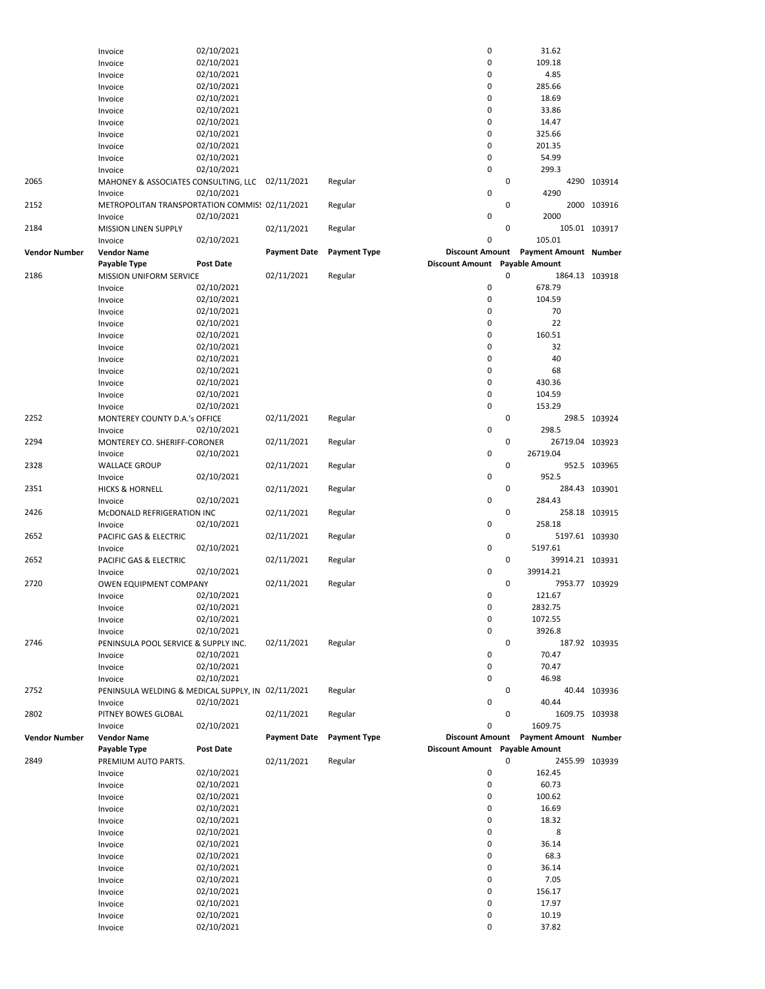|                      | Invoice                                                   | 02/10/2021               |                     |                     | $\pmb{0}$                      |   | 31.62                                 |               |
|----------------------|-----------------------------------------------------------|--------------------------|---------------------|---------------------|--------------------------------|---|---------------------------------------|---------------|
|                      | Invoice                                                   | 02/10/2021               |                     |                     | $\mathbf 0$                    |   | 109.18                                |               |
|                      | Invoice                                                   | 02/10/2021               |                     |                     | $\mathbf 0$                    |   | 4.85                                  |               |
|                      | Invoice                                                   | 02/10/2021               |                     |                     | $\mathbf 0$                    |   | 285.66                                |               |
|                      | Invoice                                                   | 02/10/2021               |                     |                     | $\mathbf 0$                    |   | 18.69                                 |               |
|                      | Invoice                                                   | 02/10/2021               |                     |                     | $\mathbf 0$                    |   | 33.86                                 |               |
|                      | Invoice                                                   | 02/10/2021               |                     |                     | $\mathbf 0$                    |   | 14.47                                 |               |
|                      | Invoice                                                   | 02/10/2021               |                     |                     | 0                              |   | 325.66                                |               |
|                      | Invoice                                                   | 02/10/2021               |                     |                     | $\mathbf 0$                    |   | 201.35                                |               |
|                      | Invoice                                                   | 02/10/2021               |                     |                     | $\mathbf 0$                    |   | 54.99                                 |               |
|                      | Invoice                                                   | 02/10/2021               |                     |                     | $\mathbf 0$                    |   | 299.3                                 |               |
| 2065                 | MAHONEY & ASSOCIATES CONSULTING, LLC 02/11/2021           |                          |                     | Regular             | $\mathbf 0$                    | 0 | 4290                                  | 4290 103914   |
|                      | Invoice                                                   | 02/10/2021               |                     |                     |                                | 0 |                                       |               |
| 2152                 | METROPOLITAN TRANSPORTATION COMMIS! 02/11/2021<br>Invoice | 02/10/2021               |                     | Regular             | $\pmb{0}$                      |   | 2000                                  | 2000 103916   |
| 2184                 | <b>MISSION LINEN SUPPLY</b>                               |                          | 02/11/2021          | Regular             |                                | 0 |                                       | 105.01 103917 |
|                      | Invoice                                                   | 02/10/2021               |                     |                     | $\mathbf 0$                    |   | 105.01                                |               |
| <b>Vendor Number</b> | <b>Vendor Name</b>                                        |                          | <b>Payment Date</b> | <b>Payment Type</b> |                                |   | Discount Amount Payment Amount Number |               |
|                      | Payable Type                                              | <b>Post Date</b>         |                     |                     | Discount Amount Payable Amount |   |                                       |               |
| 2186                 | MISSION UNIFORM SERVICE                                   |                          | 02/11/2021          | Regular             |                                | 0 | 1864.13 103918                        |               |
|                      | Invoice                                                   | 02/10/2021               |                     |                     | $\mathbf 0$                    |   | 678.79                                |               |
|                      | Invoice                                                   | 02/10/2021               |                     |                     | $\mathbf 0$                    |   | 104.59                                |               |
|                      | Invoice                                                   | 02/10/2021               |                     |                     | $\mathbf 0$                    |   | 70                                    |               |
|                      | Invoice                                                   | 02/10/2021               |                     |                     | 0                              |   | 22                                    |               |
|                      | Invoice                                                   | 02/10/2021               |                     |                     | 0                              |   | 160.51                                |               |
|                      | Invoice                                                   | 02/10/2021               |                     |                     | 0                              |   | 32                                    |               |
|                      | Invoice                                                   | 02/10/2021               |                     |                     | 0                              |   | 40                                    |               |
|                      | Invoice                                                   | 02/10/2021               |                     |                     | 0                              |   | 68                                    |               |
|                      | Invoice                                                   | 02/10/2021               |                     |                     | $\mathbf 0$                    |   | 430.36                                |               |
|                      | Invoice                                                   | 02/10/2021               |                     |                     | $\mathbf 0$                    |   | 104.59                                |               |
|                      | Invoice                                                   | 02/10/2021               |                     |                     | $\mathbf 0$                    |   | 153.29                                |               |
| 2252                 | MONTEREY COUNTY D.A.'s OFFICE                             |                          | 02/11/2021          | Regular             |                                | 0 |                                       | 298.5 103924  |
|                      | Invoice                                                   | 02/10/2021               |                     |                     | $\pmb{0}$                      |   | 298.5                                 |               |
| 2294                 | MONTEREY CO. SHERIFF-CORONER                              |                          | 02/11/2021          | Regular             |                                | 0 | 26719.04 103923                       |               |
|                      | Invoice                                                   | 02/10/2021               |                     |                     | $\mathbf 0$                    |   | 26719.04                              |               |
| 2328                 | <b>WALLACE GROUP</b>                                      |                          | 02/11/2021          | Regular             |                                | 0 |                                       | 952.5 103965  |
|                      | Invoice                                                   | 02/10/2021               |                     |                     | $\pmb{0}$                      |   | 952.5                                 |               |
| 2351                 | <b>HICKS &amp; HORNELL</b>                                |                          | 02/11/2021          | Regular             |                                | 0 |                                       | 284.43 103901 |
|                      | Invoice                                                   | 02/10/2021               |                     |                     | $\pmb{0}$                      |   | 284.43                                |               |
| 2426                 | McDONALD REFRIGERATION INC                                |                          | 02/11/2021          | Regular             |                                | 0 |                                       | 258.18 103915 |
|                      | Invoice                                                   | 02/10/2021               |                     |                     | $\mathbf 0$                    |   | 258.18                                |               |
| 2652                 | PACIFIC GAS & ELECTRIC                                    |                          | 02/11/2021          | Regular             |                                | 0 | 5197.61 103930                        |               |
|                      | Invoice                                                   | 02/10/2021               |                     |                     | 0                              |   | 5197.61                               |               |
| 2652                 | PACIFIC GAS & ELECTRIC                                    |                          | 02/11/2021          | Regular             |                                | 0 | 39914.21 103931                       |               |
|                      | Invoice                                                   | 02/10/2021               |                     |                     | $\mathbf 0$                    |   | 39914.21                              |               |
| 2720                 | OWEN EQUIPMENT COMPANY                                    |                          | 02/11/2021          | Regular             |                                | 0 | 7953.77 103929                        |               |
|                      | Invoice                                                   | 02/10/2021               |                     |                     | 0                              |   | 121.67                                |               |
|                      | Invoice                                                   | 02/10/2021               |                     |                     | 0                              |   | 2832.75                               |               |
|                      | Invoice                                                   | 02/10/2021               |                     |                     | 0                              |   | 1072.55                               |               |
|                      | Invoice                                                   | 02/10/2021               |                     |                     | $\pmb{0}$                      |   | 3926.8                                |               |
| 2746                 | PENINSULA POOL SERVICE & SUPPLY INC.                      |                          | 02/11/2021          | Regular             |                                | 0 |                                       | 187.92 103935 |
|                      | Invoice                                                   | 02/10/2021               |                     |                     | $\pmb{0}$                      |   | 70.47                                 |               |
|                      | Invoice                                                   | 02/10/2021               |                     |                     | $\pmb{0}$                      |   | 70.47                                 |               |
|                      | Invoice                                                   | 02/10/2021               |                     |                     | $\pmb{0}$                      |   | 46.98                                 |               |
| 2752                 |                                                           |                          |                     |                     |                                |   |                                       | 40.44 103936  |
|                      | PENINSULA WELDING & MEDICAL SUPPLY, IN 02/11/2021         |                          |                     | Regular             |                                | 0 |                                       |               |
|                      | Invoice                                                   | 02/10/2021               |                     |                     | $\pmb{0}$                      |   | 40.44                                 |               |
| 2802                 | PITNEY BOWES GLOBAL                                       |                          | 02/11/2021          | Regular             |                                | 0 | 1609.75 103938                        |               |
|                      | Invoice                                                   | 02/10/2021               |                     |                     | 0                              |   | 1609.75                               |               |
| <b>Vendor Number</b> | <b>Vendor Name</b>                                        |                          | <b>Payment Date</b> | <b>Payment Type</b> | <b>Discount Amount</b>         |   | <b>Payment Amount Number</b>          |               |
|                      | Payable Type                                              | <b>Post Date</b>         |                     |                     | Discount Amount Payable Amount |   |                                       |               |
| 2849                 | PREMIUM AUTO PARTS.                                       |                          | 02/11/2021          | Regular             |                                | 0 | 2455.99 103939                        |               |
|                      | Invoice                                                   | 02/10/2021               |                     |                     | $\pmb{0}$                      |   | 162.45                                |               |
|                      | Invoice                                                   | 02/10/2021               |                     |                     | $\pmb{0}$                      |   | 60.73                                 |               |
|                      | Invoice                                                   | 02/10/2021               |                     |                     | 0                              |   | 100.62                                |               |
|                      | Invoice                                                   | 02/10/2021               |                     |                     | 0                              |   | 16.69                                 |               |
|                      | Invoice                                                   | 02/10/2021               |                     |                     | $\pmb{0}$                      |   | 18.32                                 |               |
|                      | Invoice                                                   | 02/10/2021               |                     |                     | $\pmb{0}$                      |   | 8                                     |               |
|                      | Invoice                                                   | 02/10/2021               |                     |                     | $\pmb{0}$                      |   | 36.14                                 |               |
|                      | Invoice                                                   | 02/10/2021               |                     |                     | 0                              |   | 68.3                                  |               |
|                      | Invoice                                                   | 02/10/2021               |                     |                     | $\pmb{0}$                      |   | 36.14                                 |               |
|                      | Invoice                                                   | 02/10/2021               |                     |                     | $\pmb{0}$                      |   | 7.05                                  |               |
|                      | Invoice                                                   | 02/10/2021               |                     |                     | $\pmb{0}$                      |   | 156.17                                |               |
|                      | Invoice                                                   | 02/10/2021               |                     |                     | $\pmb{0}$                      |   | 17.97                                 |               |
|                      | Invoice<br>Invoice                                        | 02/10/2021<br>02/10/2021 |                     |                     | $\pmb{0}$<br>0                 |   | 10.19<br>37.82                        |               |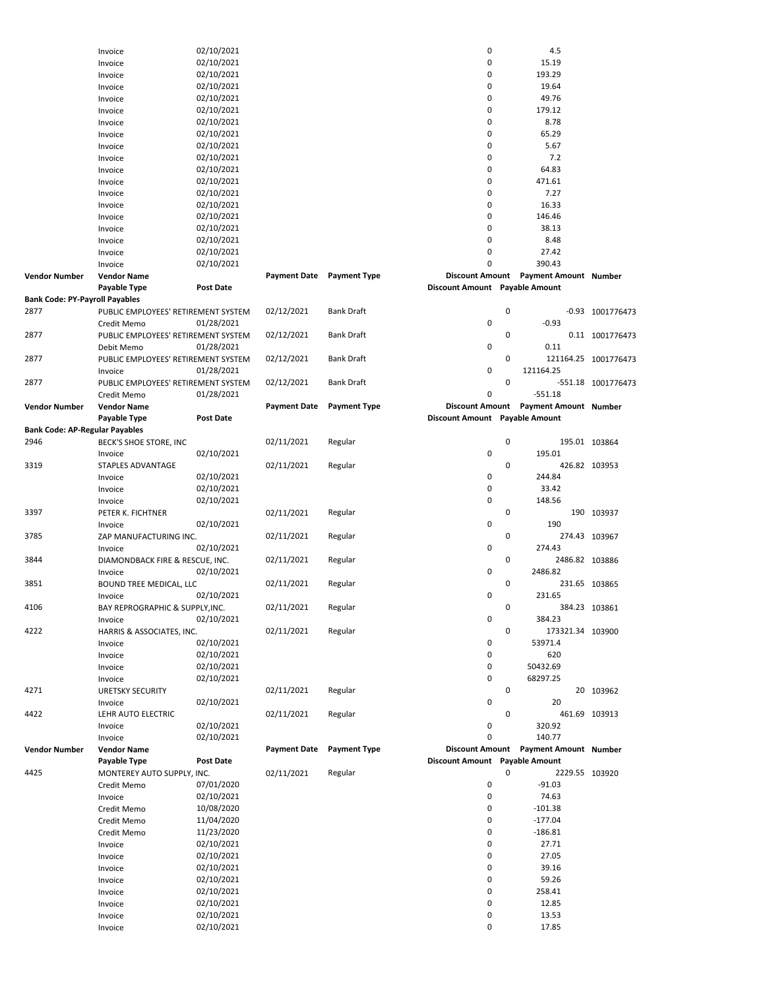|                                       | Invoice                             | 02/10/2021 |                     |                           | $\mathbf 0$                    | 4.5                                   |                      |
|---------------------------------------|-------------------------------------|------------|---------------------|---------------------------|--------------------------------|---------------------------------------|----------------------|
|                                       | Invoice                             | 02/10/2021 |                     |                           | $\mathbf 0$                    | 15.19                                 |                      |
|                                       | Invoice                             | 02/10/2021 |                     |                           | 0                              | 193.29                                |                      |
|                                       | Invoice                             | 02/10/2021 |                     |                           | $\mathbf 0$                    | 19.64                                 |                      |
|                                       | Invoice                             | 02/10/2021 |                     |                           | 0                              | 49.76                                 |                      |
|                                       | Invoice                             | 02/10/2021 |                     |                           | $\mathbf 0$                    | 179.12                                |                      |
|                                       | Invoice                             | 02/10/2021 |                     |                           | 0                              | 8.78                                  |                      |
|                                       | Invoice                             | 02/10/2021 |                     |                           | 0                              | 65.29                                 |                      |
|                                       | Invoice                             | 02/10/2021 |                     |                           | $\mathbf 0$                    | 5.67                                  |                      |
|                                       |                                     | 02/10/2021 |                     |                           | 0                              | 7.2                                   |                      |
|                                       | Invoice                             |            |                     |                           |                                |                                       |                      |
|                                       | Invoice                             | 02/10/2021 |                     |                           | $\mathbf 0$                    | 64.83                                 |                      |
|                                       | Invoice                             | 02/10/2021 |                     |                           | 0                              | 471.61                                |                      |
|                                       | Invoice                             | 02/10/2021 |                     |                           | 0                              | 7.27                                  |                      |
|                                       | Invoice                             | 02/10/2021 |                     |                           | 0                              | 16.33                                 |                      |
|                                       | Invoice                             | 02/10/2021 |                     |                           | 0                              | 146.46                                |                      |
|                                       | Invoice                             | 02/10/2021 |                     |                           | $\mathbf 0$                    | 38.13                                 |                      |
|                                       | Invoice                             | 02/10/2021 |                     |                           | $\mathbf 0$                    | 8.48                                  |                      |
|                                       | Invoice                             | 02/10/2021 |                     |                           | 0                              | 27.42                                 |                      |
|                                       | Invoice                             | 02/10/2021 |                     |                           | 0                              | 390.43                                |                      |
| <b>Vendor Number</b>                  | <b>Vendor Name</b>                  |            |                     | Payment Date Payment Type | <b>Discount Amount</b>         | <b>Payment Amount Number</b>          |                      |
|                                       | Payable Type                        | Post Date  |                     |                           | Discount Amount Payable Amount |                                       |                      |
| <b>Bank Code: PY-Payroll Payables</b> |                                     |            |                     |                           |                                |                                       |                      |
|                                       |                                     |            |                     |                           |                                |                                       |                      |
| 2877                                  | PUBLIC EMPLOYEES' RETIREMENT SYSTEM |            | 02/12/2021          | <b>Bank Draft</b>         |                                | 0                                     | -0.93 1001776473     |
|                                       | Credit Memo                         | 01/28/2021 |                     |                           | 0                              | $-0.93$                               |                      |
| 2877                                  | PUBLIC EMPLOYEES' RETIREMENT SYSTEM |            | 02/12/2021          | <b>Bank Draft</b>         |                                | 0                                     | 0.11 1001776473      |
|                                       | Debit Memo                          | 01/28/2021 |                     |                           | 0                              | 0.11                                  |                      |
| 2877                                  | PUBLIC EMPLOYEES' RETIREMENT SYSTEM |            | 02/12/2021          | <b>Bank Draft</b>         |                                | 0                                     | 121164.25 1001776473 |
|                                       | Invoice                             | 01/28/2021 |                     |                           | 0                              | 121164.25                             |                      |
| 2877                                  | PUBLIC EMPLOYEES' RETIREMENT SYSTEM |            | 02/12/2021          | <b>Bank Draft</b>         |                                | 0                                     | -551.18 1001776473   |
|                                       | Credit Memo                         | 01/28/2021 |                     |                           | 0                              | $-551.18$                             |                      |
| <b>Vendor Number</b>                  | <b>Vendor Name</b>                  |            | <b>Payment Date</b> | <b>Payment Type</b>       |                                | Discount Amount Payment Amount Number |                      |
|                                       | Payable Type                        | Post Date  |                     |                           | Discount Amount Payable Amount |                                       |                      |
| <b>Bank Code: AP-Regular Payables</b> |                                     |            |                     |                           |                                |                                       |                      |
| 2946                                  |                                     |            |                     |                           |                                | 0                                     |                      |
|                                       | BECK'S SHOE STORE, INC              |            | 02/11/2021          | Regular                   |                                |                                       | 195.01 103864        |
|                                       | Invoice                             | 02/10/2021 |                     |                           | $\mathbf 0$                    | 195.01                                |                      |
| 3319                                  | STAPLES ADVANTAGE                   |            | 02/11/2021          | Regular                   |                                | 0                                     | 426.82 103953        |
|                                       | Invoice                             | 02/10/2021 |                     |                           | $\mathbf 0$                    | 244.84                                |                      |
|                                       | Invoice                             | 02/10/2021 |                     |                           | $\mathbf 0$                    | 33.42                                 |                      |
|                                       | Invoice                             | 02/10/2021 |                     |                           | $\mathbf 0$                    | 148.56                                |                      |
| 3397                                  | PETER K. FICHTNER                   |            | 02/11/2021          | Regular                   |                                | 0                                     | 190 103937           |
|                                       | Invoice                             | 02/10/2021 |                     |                           | $\mathbf 0$                    | 190                                   |                      |
| 3785                                  | ZAP MANUFACTURING INC.              |            | 02/11/2021          | Regular                   |                                | 0                                     | 274.43 103967        |
|                                       | Invoice                             | 02/10/2021 |                     |                           | 0                              | 274.43                                |                      |
| 3844                                  | DIAMONDBACK FIRE & RESCUE, INC.     |            | 02/11/2021          | Regular                   |                                | 0<br>2486.82 103886                   |                      |
|                                       | Invoice                             |            |                     |                           | 0                              | 2486.82                               |                      |
|                                       |                                     | 02/10/2021 |                     |                           |                                |                                       |                      |
| 3851                                  | BOUND TREE MEDICAL, LLC             |            | 02/11/2021          | Regular                   |                                | 0                                     | 231.65 103865        |
|                                       | Invoice                             | 02/10/2021 |                     |                           | $\mathbf 0$                    | 231.65                                |                      |
| 4106                                  | BAY REPROGRAPHIC & SUPPLY, INC.     |            | 02/11/2021          | Regular                   |                                | 0                                     | 384.23 103861        |
|                                       | Invoice                             | 02/10/2021 |                     |                           | 0                              | 384.23                                |                      |
| 4222                                  | HARRIS & ASSOCIATES, INC.           |            | 02/11/2021          | Regular                   |                                | 0<br>173321.34 103900                 |                      |
|                                       | Invoice                             | 02/10/2021 |                     |                           | $\pmb{0}$                      | 53971.4                               |                      |
|                                       | Invoice                             | 02/10/2021 |                     |                           | $\pmb{0}$                      | 620                                   |                      |
|                                       | Invoice                             | 02/10/2021 |                     |                           | 0                              | 50432.69                              |                      |
|                                       | Invoice                             | 02/10/2021 |                     |                           | 0                              | 68297.25                              |                      |
| 4271                                  | <b>URETSKY SECURITY</b>             |            | 02/11/2021          | Regular                   |                                | 0                                     | 20 103962            |
|                                       | Invoice                             | 02/10/2021 |                     |                           | $\mathbf 0$                    | 20                                    |                      |
| 4422                                  | LEHR AUTO ELECTRIC                  |            | 02/11/2021          | Regular                   |                                | 0                                     |                      |
|                                       |                                     |            |                     |                           |                                |                                       | 461.69 103913        |
|                                       | Invoice                             | 02/10/2021 |                     |                           | 0                              | 320.92                                |                      |
|                                       | Invoice                             | 02/10/2021 |                     |                           | $\mathbf 0$                    | 140.77                                |                      |
| <b>Vendor Number</b>                  | <b>Vendor Name</b>                  |            | <b>Payment Date</b> | <b>Payment Type</b>       |                                | Discount Amount Payment Amount Number |                      |
|                                       | Payable Type                        | Post Date  |                     |                           | Discount Amount Payable Amount |                                       |                      |
| 4425                                  | MONTEREY AUTO SUPPLY, INC.          |            | 02/11/2021          | Regular                   |                                | 0<br>2229.55 103920                   |                      |
|                                       | Credit Memo                         | 07/01/2020 |                     |                           | 0                              | $-91.03$                              |                      |
|                                       | Invoice                             | 02/10/2021 |                     |                           | $\pmb{0}$                      | 74.63                                 |                      |
|                                       | Credit Memo                         | 10/08/2020 |                     |                           | 0                              | $-101.38$                             |                      |
|                                       | Credit Memo                         | 11/04/2020 |                     |                           | 0                              | $-177.04$                             |                      |
|                                       | Credit Memo                         | 11/23/2020 |                     |                           | 0                              | $-186.81$                             |                      |
|                                       | Invoice                             | 02/10/2021 |                     |                           | 0                              | 27.71                                 |                      |
|                                       | Invoice                             | 02/10/2021 |                     |                           | 0                              | 27.05                                 |                      |
|                                       | Invoice                             | 02/10/2021 |                     |                           | 0                              | 39.16                                 |                      |
|                                       |                                     |            |                     |                           | 0                              |                                       |                      |
|                                       | Invoice                             | 02/10/2021 |                     |                           |                                | 59.26                                 |                      |
|                                       | Invoice                             | 02/10/2021 |                     |                           | 0                              | 258.41                                |                      |
|                                       | Invoice                             | 02/10/2021 |                     |                           | 0                              | 12.85                                 |                      |
|                                       | Invoice                             | 02/10/2021 |                     |                           | 0                              | 13.53                                 |                      |
|                                       | Invoice                             | 02/10/2021 |                     |                           | 0                              | 17.85                                 |                      |
|                                       |                                     |            |                     |                           |                                |                                       |                      |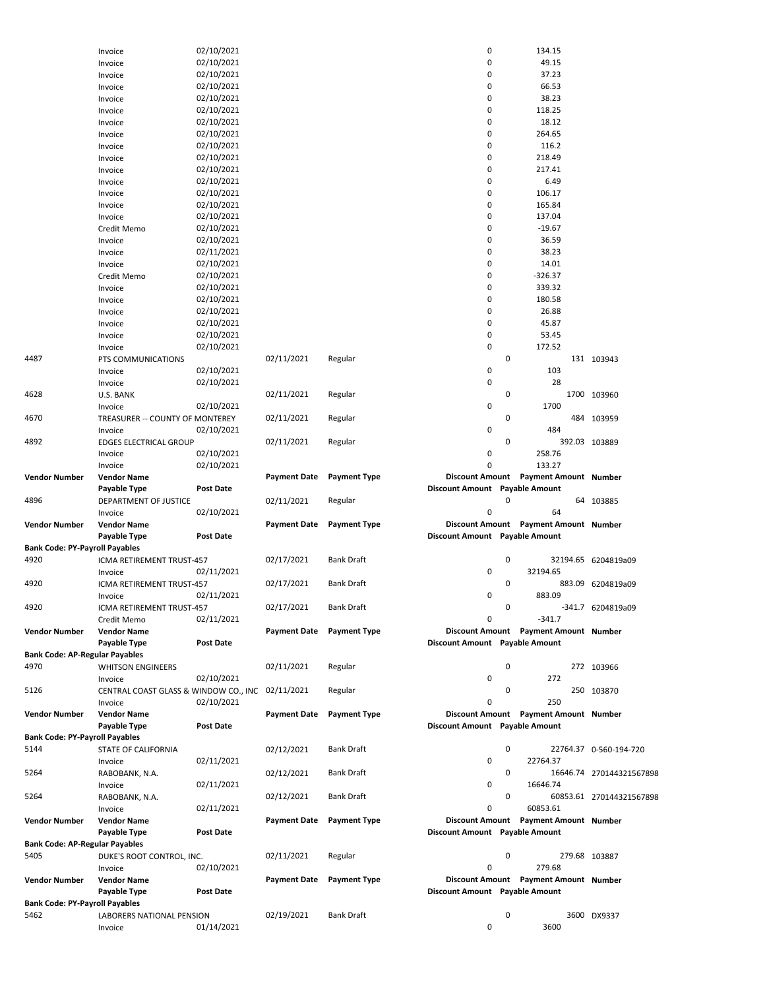|                                       | Invoice                               | 02/10/2021       |                     |                     | 0                              |   | 134.15                                |                          |
|---------------------------------------|---------------------------------------|------------------|---------------------|---------------------|--------------------------------|---|---------------------------------------|--------------------------|
|                                       | Invoice                               | 02/10/2021       |                     |                     | 0                              |   | 49.15                                 |                          |
|                                       | Invoice                               | 02/10/2021       |                     |                     | 0                              |   | 37.23                                 |                          |
|                                       | Invoice                               | 02/10/2021       |                     |                     | 0                              |   | 66.53                                 |                          |
|                                       | Invoice                               | 02/10/2021       |                     |                     | 0                              |   | 38.23                                 |                          |
|                                       |                                       |                  |                     |                     |                                |   |                                       |                          |
|                                       | Invoice                               | 02/10/2021       |                     |                     | 0                              |   | 118.25                                |                          |
|                                       | Invoice                               | 02/10/2021       |                     |                     | 0                              |   | 18.12                                 |                          |
|                                       | Invoice                               | 02/10/2021       |                     |                     | 0                              |   | 264.65                                |                          |
|                                       | Invoice                               | 02/10/2021       |                     |                     | 0                              |   | 116.2                                 |                          |
|                                       | Invoice                               | 02/10/2021       |                     |                     | 0                              |   | 218.49                                |                          |
|                                       |                                       | 02/10/2021       |                     |                     | 0                              |   | 217.41                                |                          |
|                                       | Invoice                               |                  |                     |                     |                                |   |                                       |                          |
|                                       | Invoice                               | 02/10/2021       |                     |                     | 0                              |   | 6.49                                  |                          |
|                                       | Invoice                               | 02/10/2021       |                     |                     | 0                              |   | 106.17                                |                          |
|                                       | Invoice                               | 02/10/2021       |                     |                     | 0                              |   | 165.84                                |                          |
|                                       | Invoice                               | 02/10/2021       |                     |                     | 0                              |   | 137.04                                |                          |
|                                       | Credit Memo                           | 02/10/2021       |                     |                     | 0                              |   | $-19.67$                              |                          |
|                                       |                                       |                  |                     |                     |                                |   |                                       |                          |
|                                       | Invoice                               | 02/10/2021       |                     |                     | 0                              |   | 36.59                                 |                          |
|                                       | Invoice                               | 02/11/2021       |                     |                     | 0                              |   | 38.23                                 |                          |
|                                       | Invoice                               | 02/10/2021       |                     |                     | 0                              |   | 14.01                                 |                          |
|                                       | Credit Memo                           | 02/10/2021       |                     |                     | 0                              |   | $-326.37$                             |                          |
|                                       | Invoice                               | 02/10/2021       |                     |                     | 0                              |   | 339.32                                |                          |
|                                       | Invoice                               | 02/10/2021       |                     |                     | 0                              |   | 180.58                                |                          |
|                                       |                                       |                  |                     |                     | 0                              |   |                                       |                          |
|                                       | Invoice                               | 02/10/2021       |                     |                     |                                |   | 26.88                                 |                          |
|                                       | Invoice                               | 02/10/2021       |                     |                     | 0                              |   | 45.87                                 |                          |
|                                       | Invoice                               | 02/10/2021       |                     |                     | 0                              |   | 53.45                                 |                          |
|                                       | Invoice                               | 02/10/2021       |                     |                     | 0                              |   | 172.52                                |                          |
| 4487                                  | PTS COMMUNICATIONS                    |                  | 02/11/2021          | Regular             |                                | 0 |                                       | 131 103943               |
|                                       | Invoice                               | 02/10/2021       |                     |                     | 0                              |   | 103                                   |                          |
|                                       |                                       |                  |                     |                     |                                |   |                                       |                          |
|                                       | Invoice                               | 02/10/2021       |                     |                     | 0                              |   | 28                                    |                          |
| 4628                                  | U.S. BANK                             |                  | 02/11/2021          | Regular             |                                | 0 |                                       | 1700 103960              |
|                                       | Invoice                               | 02/10/2021       |                     |                     | 0                              |   | 1700                                  |                          |
| 4670                                  | TREASURER -- COUNTY OF MONTEREY       |                  | 02/11/2021          | Regular             |                                | 0 |                                       | 484 103959               |
|                                       | Invoice                               | 02/10/2021       |                     |                     | 0                              |   | 484                                   |                          |
| 4892                                  | <b>EDGES ELECTRICAL GROUP</b>         |                  | 02/11/2021          | Regular             |                                | 0 | 392.03 103889                         |                          |
|                                       |                                       |                  |                     |                     |                                |   |                                       |                          |
|                                       | Invoice                               | 02/10/2021       |                     |                     | 0                              |   | 258.76                                |                          |
|                                       | Invoice                               | 02/10/2021       |                     |                     | 0                              |   | 133.27                                |                          |
| Vendor Number                         | <b>Vendor Name</b>                    |                  | <b>Payment Date</b> | <b>Payment Type</b> | Discount Amount                |   | <b>Payment Amount Number</b>          |                          |
|                                       | Payable Type                          | Post Date        |                     |                     | Discount Amount Payable Amount |   |                                       |                          |
| 4896                                  | DEPARTMENT OF JUSTICE                 |                  | 02/11/2021          | Regular             |                                | 0 |                                       | 64 103885                |
|                                       | Invoice                               |                  |                     |                     | 0                              |   | 64                                    |                          |
|                                       |                                       | 02/10/2021       |                     |                     |                                |   |                                       |                          |
| Vendor Number                         | <b>Vendor Name</b>                    |                  | <b>Payment Date</b> | <b>Payment Type</b> |                                |   | Discount Amount Payment Amount Number |                          |
|                                       | Payable Type                          | <b>Post Date</b> |                     |                     | Discount Amount Payable Amount |   |                                       |                          |
| <b>Bank Code: PY-Payroll Payables</b> |                                       |                  |                     |                     |                                |   |                                       |                          |
| 4920                                  |                                       |                  |                     |                     |                                |   |                                       |                          |
|                                       |                                       |                  | 02/17/2021          | <b>Bank Draft</b>   |                                | 0 | 32194.65 6204819a09                   |                          |
|                                       | ICMA RETIREMENT TRUST-457             |                  |                     |                     |                                |   |                                       |                          |
|                                       | Invoice                               | 02/11/2021       |                     |                     | 0                              |   | 32194.65                              |                          |
| 4920                                  | ICMA RETIREMENT TRUST-457             |                  | 02/17/2021          | <b>Bank Draft</b>   |                                | 0 |                                       | 883.09 6204819a09        |
|                                       | Invoice                               | 02/11/2021       |                     |                     | 0                              |   | 883.09                                |                          |
| 4920                                  | ICMA RETIREMENT TRUST-457             |                  | 02/17/2021          | Bank Draft          |                                | 0 |                                       | -341.7 6204819a09        |
|                                       | Credit Memo                           | 02/11/2021       |                     |                     | 0                              |   | $-341.7$                              |                          |
| Vendor Number                         | <b>Vendor Name</b>                    |                  | <b>Payment Date</b> | <b>Payment Type</b> |                                |   | Discount Amount Payment Amount Number |                          |
|                                       |                                       |                  |                     |                     |                                |   |                                       |                          |
|                                       | Payable Type                          | <b>Post Date</b> |                     |                     | Discount Amount Payable Amount |   |                                       |                          |
| Bank Code: AP-Regular Payables        |                                       |                  |                     |                     |                                |   |                                       |                          |
| 4970                                  | <b>WHITSON ENGINEERS</b>              |                  | 02/11/2021          | Regular             |                                | 0 |                                       | 272 103966               |
|                                       | Invoice                               | 02/10/2021       |                     |                     | 0                              |   | 272                                   |                          |
| 5126                                  | CENTRAL COAST GLASS & WINDOW CO., INC |                  | 02/11/2021          | Regular             |                                | 0 |                                       | 250 103870               |
|                                       | Invoice                               | 02/10/2021       |                     |                     | 0                              |   | 250                                   |                          |
|                                       | <b>Vendor Name</b>                    |                  |                     |                     |                                |   |                                       |                          |
| <b>Vendor Number</b>                  |                                       |                  | <b>Payment Date</b> | <b>Payment Type</b> |                                |   | Discount Amount Payment Amount Number |                          |
|                                       | Payable Type                          | <b>Post Date</b> |                     |                     | Discount Amount Payable Amount |   |                                       |                          |
| <b>Bank Code: PY-Payroll Payables</b> |                                       |                  |                     |                     |                                |   |                                       |                          |
| 5144                                  | <b>STATE OF CALIFORNIA</b>            |                  | 02/12/2021          | <b>Bank Draft</b>   |                                | 0 |                                       | 22764.37 0-560-194-720   |
|                                       | Invoice                               | 02/11/2021       |                     |                     | 0                              |   | 22764.37                              |                          |
| 5264                                  | RABOBANK, N.A.                        |                  | 02/12/2021          | <b>Bank Draft</b>   |                                | 0 |                                       | 16646.74 270144321567898 |
|                                       | Invoice                               | 02/11/2021       |                     |                     | 0                              |   | 16646.74                              |                          |
|                                       |                                       |                  |                     |                     |                                | 0 |                                       |                          |
| 5264                                  | RABOBANK, N.A.                        |                  | 02/12/2021          | <b>Bank Draft</b>   |                                |   |                                       | 60853.61 270144321567898 |
|                                       | Invoice                               | 02/11/2021       |                     |                     | 0                              |   | 60853.61                              |                          |
| Vendor Number                         | <b>Vendor Name</b>                    |                  | <b>Payment Date</b> | <b>Payment Type</b> |                                |   | Discount Amount Payment Amount Number |                          |
|                                       | Payable Type                          | <b>Post Date</b> |                     |                     | Discount Amount Payable Amount |   |                                       |                          |
| <b>Bank Code: AP-Regular Payables</b> |                                       |                  |                     |                     |                                |   |                                       |                          |
| 5405                                  | DUKE'S ROOT CONTROL, INC.             |                  | 02/11/2021          | Regular             |                                | 0 | 279.68 103887                         |                          |
|                                       | Invoice                               | 02/10/2021       |                     |                     | 0                              |   | 279.68                                |                          |
|                                       |                                       |                  |                     |                     |                                |   |                                       |                          |
| Vendor Number                         | <b>Vendor Name</b>                    |                  | <b>Payment Date</b> | <b>Payment Type</b> |                                |   | Discount Amount Payment Amount Number |                          |
|                                       | Payable Type                          | <b>Post Date</b> |                     |                     | Discount Amount Payable Amount |   |                                       |                          |
| Bank Code: PY-Payroll Payables        |                                       |                  |                     |                     |                                |   |                                       |                          |
| 5462                                  | LABORERS NATIONAL PENSION             |                  | 02/19/2021          | <b>Bank Draft</b>   |                                | 0 |                                       | 3600 DX9337              |
|                                       | Invoice                               | 01/14/2021       |                     |                     | 0                              |   | 3600                                  |                          |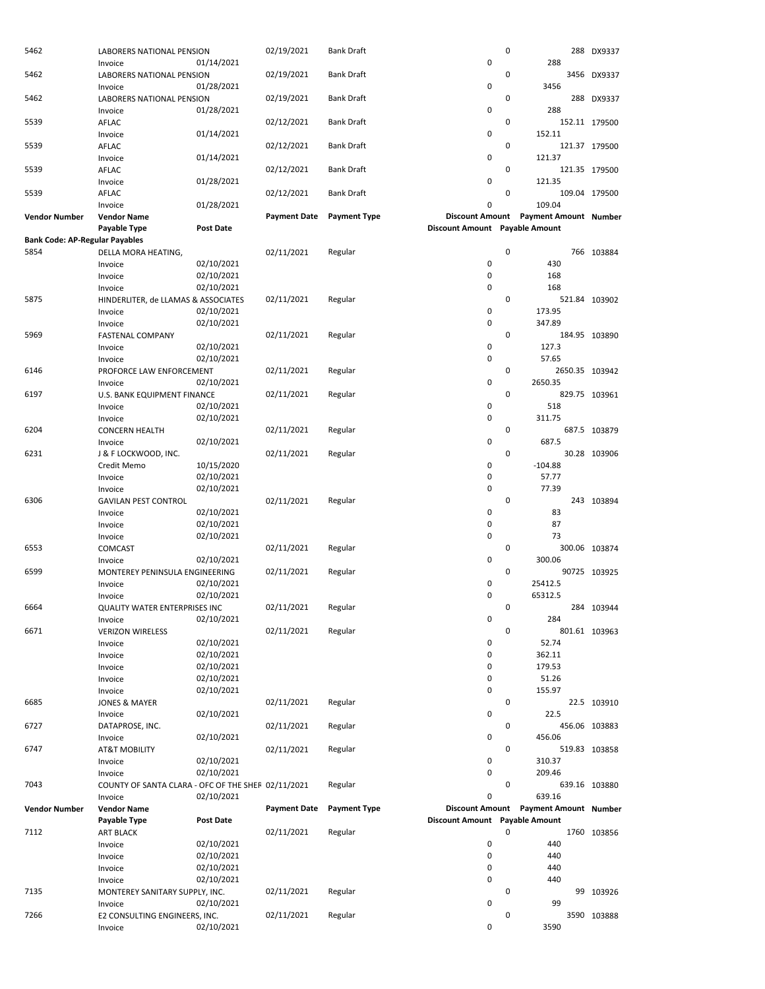| 5462                                  | LABORERS NATIONAL PENSION<br>Invoice               | 01/14/2021       | 02/19/2021          | <b>Bank Draft</b>   | 0                              | $\mathbf 0$ | 288                                             | 288 DX9337    |
|---------------------------------------|----------------------------------------------------|------------------|---------------------|---------------------|--------------------------------|-------------|-------------------------------------------------|---------------|
| 5462                                  | LABORERS NATIONAL PENSION<br>Invoice               | 01/28/2021       | 02/19/2021          | <b>Bank Draft</b>   | 0                              | 0           | 3456                                            | 3456 DX9337   |
| 5462                                  | LABORERS NATIONAL PENSION                          |                  | 02/19/2021          | <b>Bank Draft</b>   | 0                              | 0           | 288                                             | 288 DX9337    |
| 5539                                  | Invoice<br>AFLAC                                   | 01/28/2021       | 02/12/2021          | <b>Bank Draft</b>   |                                | 0           |                                                 | 152.11 179500 |
| 5539                                  | Invoice<br>AFLAC                                   | 01/14/2021       | 02/12/2021          | <b>Bank Draft</b>   | 0                              | 0           | 152.11                                          | 121.37 179500 |
| 5539                                  | Invoice<br>AFLAC                                   | 01/14/2021       | 02/12/2021          | <b>Bank Draft</b>   | 0                              | 0           | 121.37                                          | 121.35 179500 |
| 5539                                  | Invoice<br>AFLAC                                   | 01/28/2021       | 02/12/2021          | <b>Bank Draft</b>   | 0                              | 0           | 121.35                                          | 109.04 179500 |
| Vendor Number                         | Invoice<br><b>Vendor Name</b>                      | 01/28/2021       | <b>Payment Date</b> | <b>Payment Type</b> | 0                              |             | 109.04<br>Discount Amount Payment Amount Number |               |
| <b>Bank Code: AP-Regular Payables</b> | Payable Type                                       | <b>Post Date</b> |                     |                     | Discount Amount Payable Amount |             |                                                 |               |
| 5854                                  | DELLA MORA HEATING,                                |                  | 02/11/2021          | Regular             |                                | 0           |                                                 | 766 103884    |
|                                       | Invoice                                            | 02/10/2021       |                     |                     | 0                              |             | 430                                             |               |
|                                       | Invoice                                            | 02/10/2021       |                     |                     | 0                              |             | 168                                             |               |
|                                       | Invoice                                            | 02/10/2021       |                     |                     | $\mathbf 0$                    |             | 168                                             |               |
| 5875                                  | HINDERLITER, de LLAMAS & ASSOCIATES                |                  | 02/11/2021          | Regular             |                                | 0           |                                                 | 521.84 103902 |
|                                       | Invoice                                            | 02/10/2021       |                     |                     | 0                              |             | 173.95                                          |               |
|                                       | Invoice                                            | 02/10/2021       |                     |                     | $\mathbf 0$                    |             | 347.89                                          |               |
| 5969                                  | <b>FASTENAL COMPANY</b>                            |                  | 02/11/2021          | Regular             |                                | 0           |                                                 | 184.95 103890 |
|                                       | Invoice                                            | 02/10/2021       |                     |                     | 0                              |             | 127.3                                           |               |
|                                       | Invoice                                            | 02/10/2021       |                     |                     | $\mathbf 0$                    |             | 57.65                                           |               |
| 6146                                  | PROFORCE LAW ENFORCEMENT                           |                  | 02/11/2021          | Regular             |                                | 0           | 2650.35 103942                                  |               |
|                                       | Invoice                                            | 02/10/2021       |                     |                     | 0                              |             | 2650.35                                         |               |
| 6197                                  | U.S. BANK EQUIPMENT FINANCE                        |                  | 02/11/2021          | Regular             |                                | 0           |                                                 | 829.75 103961 |
|                                       | Invoice                                            | 02/10/2021       |                     |                     | 0                              |             | 518                                             |               |
|                                       | Invoice                                            | 02/10/2021       |                     |                     | 0                              |             | 311.75                                          |               |
| 6204                                  | <b>CONCERN HEALTH</b>                              |                  | 02/11/2021          | Regular             | 0                              | 0           | 687.5                                           | 687.5 103879  |
| 6231                                  | Invoice                                            | 02/10/2021       |                     |                     |                                | 0           |                                                 |               |
|                                       | J & F LOCKWOOD, INC.                               | 10/15/2020       | 02/11/2021          | Regular             | 0                              |             | $-104.88$                                       | 30.28 103906  |
|                                       | Credit Memo<br>Invoice                             | 02/10/2021       |                     |                     | 0                              |             | 57.77                                           |               |
|                                       | Invoice                                            | 02/10/2021       |                     |                     | 0                              |             | 77.39                                           |               |
| 6306                                  | <b>GAVILAN PEST CONTROL</b>                        |                  | 02/11/2021          | Regular             |                                | 0           |                                                 | 243 103894    |
|                                       | Invoice                                            | 02/10/2021       |                     |                     | 0                              |             | 83                                              |               |
|                                       | Invoice                                            | 02/10/2021       |                     |                     | 0                              |             | 87                                              |               |
|                                       | Invoice                                            | 02/10/2021       |                     |                     | 0                              |             | 73                                              |               |
| 6553                                  | COMCAST                                            |                  | 02/11/2021          | Regular             |                                | 0           |                                                 | 300.06 103874 |
|                                       | Invoice                                            | 02/10/2021       |                     |                     | 0                              |             | 300.06                                          |               |
| 6599                                  | MONTEREY PENINSULA ENGINEERING                     |                  | 02/11/2021          | Regular             |                                | 0           |                                                 | 90725 103925  |
|                                       | Invoice                                            | 02/10/2021       |                     |                     | 0                              |             | 25412.5                                         |               |
|                                       | Invoice                                            | 02/10/2021       |                     |                     | $\mathbf 0$                    |             | 65312.5                                         |               |
| 6664                                  | <b>QUALITY WATER ENTERPRISES INC</b>               |                  | 02/11/2021          | Regular             |                                | 0           |                                                 | 284 103944    |
|                                       | Invoice                                            | 02/10/2021       |                     |                     | 0                              |             | 284                                             |               |
| 6671                                  | <b>VERIZON WIRELESS</b>                            |                  | 02/11/2021          | Regular             |                                | 0           |                                                 | 801.61 103963 |
|                                       | Invoice                                            | 02/10/2021       |                     |                     | 0                              |             | 52.74                                           |               |
|                                       | Invoice                                            | 02/10/2021       |                     |                     | 0                              |             | 362.11                                          |               |
|                                       | Invoice                                            | 02/10/2021       |                     |                     | 0                              |             | 179.53                                          |               |
|                                       | Invoice                                            | 02/10/2021       |                     |                     | 0                              |             | 51.26                                           |               |
|                                       | Invoice                                            | 02/10/2021       |                     |                     | 0                              | 0           | 155.97                                          |               |
| 6685                                  | <b>JONES &amp; MAYER</b>                           | 02/10/2021       | 02/11/2021          | Regular             | 0                              |             | 22.5                                            | 22.5 103910   |
| 6727                                  | Invoice<br>DATAPROSE, INC.                         |                  | 02/11/2021          | Regular             |                                | 0           |                                                 | 456.06 103883 |
|                                       | Invoice                                            | 02/10/2021       |                     |                     | 0                              |             | 456.06                                          |               |
| 6747                                  | <b>AT&amp;T MOBILITY</b>                           |                  | 02/11/2021          | Regular             |                                | 0           |                                                 | 519.83 103858 |
|                                       | Invoice                                            | 02/10/2021       |                     |                     | 0                              |             | 310.37                                          |               |
|                                       | Invoice                                            | 02/10/2021       |                     |                     | 0                              |             | 209.46                                          |               |
| 7043                                  | COUNTY OF SANTA CLARA - OFC OF THE SHEF 02/11/2021 |                  |                     | Regular             |                                | 0           |                                                 | 639.16 103880 |
|                                       | Invoice                                            | 02/10/2021       |                     |                     | 0                              |             | 639.16                                          |               |
| Vendor Number                         | <b>Vendor Name</b>                                 |                  | <b>Payment Date</b> | <b>Payment Type</b> |                                |             | Discount Amount Payment Amount Number           |               |
|                                       | Payable Type                                       | Post Date        |                     |                     | Discount Amount Payable Amount |             |                                                 |               |
| 7112                                  | <b>ART BLACK</b>                                   |                  | 02/11/2021          | Regular             |                                | 0           |                                                 | 1760 103856   |
|                                       | Invoice                                            | 02/10/2021       |                     |                     | 0                              |             | 440                                             |               |
|                                       | Invoice                                            | 02/10/2021       |                     |                     | 0                              |             | 440                                             |               |
|                                       | Invoice                                            | 02/10/2021       |                     |                     | 0                              |             | 440                                             |               |
|                                       | Invoice                                            | 02/10/2021       |                     |                     | 0                              |             | 440                                             |               |
| 7135                                  | MONTEREY SANITARY SUPPLY, INC.                     |                  | 02/11/2021          | Regular             |                                | 0           |                                                 | 99 103926     |
|                                       | Invoice                                            | 02/10/2021       |                     |                     | 0                              |             | 99                                              |               |
| 7266                                  | E2 CONSULTING ENGINEERS, INC.                      |                  | 02/11/2021          | Regular             |                                | 0           |                                                 | 3590 103888   |
|                                       | Invoice                                            | 02/10/2021       |                     |                     | 0                              |             | 3590                                            |               |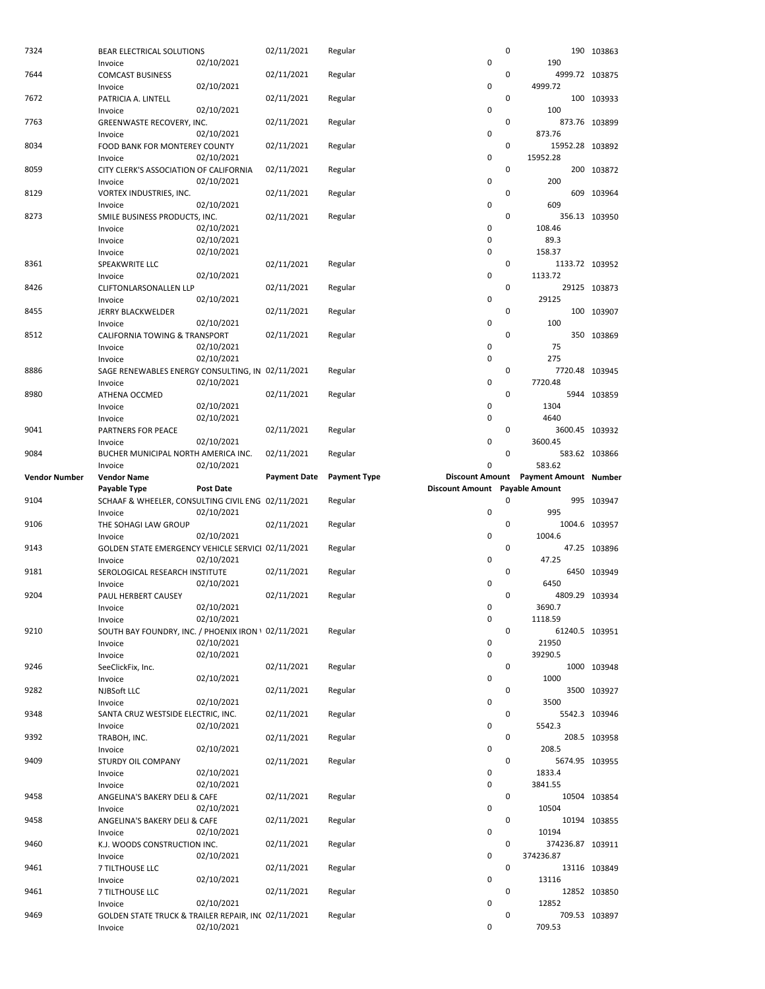| 7324                 | BEAR ELECTRICAL SOLUTIONS                                      |            | 02/11/2021          | Regular             |                                | 0 |                                                 | 190 103863    |
|----------------------|----------------------------------------------------------------|------------|---------------------|---------------------|--------------------------------|---|-------------------------------------------------|---------------|
| 7644                 | Invoice<br><b>COMCAST BUSINESS</b>                             | 02/10/2021 | 02/11/2021          | Regular             | 0                              | 0 | 190<br>4999.72 103875                           |               |
|                      | Invoice                                                        | 02/10/2021 |                     |                     | 0                              |   | 4999.72                                         |               |
| 7672                 | PATRICIA A. LINTELL                                            |            | 02/11/2021          | Regular             |                                | 0 |                                                 | 100 103933    |
|                      | Invoice                                                        | 02/10/2021 |                     |                     | 0                              |   | 100                                             |               |
| 7763                 | GREENWASTE RECOVERY, INC.<br>Invoice                           | 02/10/2021 | 02/11/2021          | Regular             | 0                              | 0 | 873.76                                          | 873.76 103899 |
| 8034                 | FOOD BANK FOR MONTEREY COUNTY                                  |            | 02/11/2021          | Regular             |                                | 0 | 15952.28 103892                                 |               |
|                      | Invoice                                                        | 02/10/2021 |                     |                     | 0                              |   | 15952.28                                        |               |
| 8059                 | CITY CLERK'S ASSOCIATION OF CALIFORNIA                         |            | 02/11/2021          | Regular             |                                | 0 |                                                 | 200 103872    |
| 8129                 | Invoice<br>VORTEX INDUSTRIES, INC.                             | 02/10/2021 | 02/11/2021          | Regular             | 0                              | 0 | 200<br>609                                      | 103964        |
|                      | Invoice                                                        | 02/10/2021 |                     |                     | 0                              |   | 609                                             |               |
| 8273                 | SMILE BUSINESS PRODUCTS, INC.                                  |            | 02/11/2021          | Regular             |                                | 0 |                                                 | 356.13 103950 |
|                      | Invoice                                                        | 02/10/2021 |                     |                     | 0                              |   | 108.46                                          |               |
|                      | Invoice                                                        | 02/10/2021 |                     |                     | 0                              |   | 89.3                                            |               |
| 8361                 | Invoice<br>SPEAKWRITE LLC                                      | 02/10/2021 | 02/11/2021          | Regular             | 0                              | 0 | 158.37<br>1133.72 103952                        |               |
|                      | Invoice                                                        | 02/10/2021 |                     |                     | 0                              |   | 1133.72                                         |               |
| 8426                 | CLIFTONLARSONALLEN LLP                                         |            | 02/11/2021          | Regular             |                                | 0 |                                                 | 29125 103873  |
|                      | Invoice                                                        | 02/10/2021 |                     |                     | 0                              |   | 29125                                           |               |
| 8455                 | <b>JERRY BLACKWELDER</b>                                       |            | 02/11/2021          | Regular             |                                | 0 |                                                 | 100 103907    |
| 8512                 | Invoice<br><b>CALIFORNIA TOWING &amp; TRANSPORT</b>            | 02/10/2021 | 02/11/2021          | Regular             | 0                              | 0 | 100                                             | 350 103869    |
|                      | Invoice                                                        | 02/10/2021 |                     |                     | 0                              |   | 75                                              |               |
|                      | Invoice                                                        | 02/10/2021 |                     |                     | 0                              |   | 275                                             |               |
| 8886                 | SAGE RENEWABLES ENERGY CONSULTING, IN 02/11/2021               |            |                     | Regular             |                                | 0 | 7720.48 103945                                  |               |
|                      | Invoice                                                        | 02/10/2021 |                     |                     | 0                              |   | 7720.48                                         |               |
| 8980                 | ATHENA OCCMED<br>Invoice                                       | 02/10/2021 | 02/11/2021          | Regular             | 0                              | 0 | 1304                                            | 5944 103859   |
|                      | Invoice                                                        | 02/10/2021 |                     |                     | 0                              |   | 4640                                            |               |
| 9041                 | PARTNERS FOR PEACE                                             |            | 02/11/2021          | Regular             |                                | 0 | 3600.45 103932                                  |               |
|                      | Invoice                                                        | 02/10/2021 |                     |                     | 0                              |   | 3600.45                                         |               |
| 9084                 | BUCHER MUNICIPAL NORTH AMERICA INC.                            |            | 02/11/2021          | Regular             |                                | 0 |                                                 | 583.62 103866 |
| <b>Vendor Number</b> | Invoice<br><b>Vendor Name</b>                                  | 02/10/2021 | <b>Payment Date</b> | <b>Payment Type</b> | 0                              |   | 583.62<br>Discount Amount Payment Amount Number |               |
|                      |                                                                |            |                     |                     |                                |   |                                                 |               |
|                      | Payable Type                                                   | Post Date  |                     |                     | Discount Amount Payable Amount |   |                                                 |               |
| 9104                 | SCHAAF & WHEELER, CONSULTING CIVIL ENG 02/11/2021              |            |                     | Regular             |                                | 0 |                                                 | 995 103947    |
|                      | Invoice                                                        | 02/10/2021 |                     |                     | 0                              |   | 995                                             |               |
| 9106                 | THE SOHAGI LAW GROUP                                           |            | 02/11/2021          | Regular             |                                | 0 |                                                 | 1004.6 103957 |
|                      | Invoice                                                        | 02/10/2021 |                     |                     | 0                              |   | 1004.6                                          |               |
| 9143                 | GOLDEN STATE EMERGENCY VEHICLE SERVICI 02/11/2021<br>Invoice   | 02/10/2021 |                     | Regular             | 0                              | 0 | 47.25                                           | 47.25 103896  |
| 9181                 | SEROLOGICAL RESEARCH INSTITUTE                                 |            | 02/11/2021          | Regular             |                                | 0 |                                                 | 6450 103949   |
|                      | Invoice                                                        | 02/10/2021 |                     |                     | 0                              |   | 6450                                            |               |
| 9204                 | PAUL HERBERT CAUSEY                                            |            | 02/11/2021          | Regular             |                                | 0 | 4809.29 103934                                  |               |
|                      | Invoice                                                        | 02/10/2021 |                     |                     | U                              |   | 3690.7<br>1118.59                               |               |
| 9210                 | Invoice<br>SOUTH BAY FOUNDRY, INC. / PHOENIX IRON 1 02/11/2021 | 02/10/2021 |                     | Regular             | 0                              | 0 | 61240.5 103951                                  |               |
|                      | Invoice                                                        | 02/10/2021 |                     |                     | 0                              |   | 21950                                           |               |
|                      | Invoice                                                        | 02/10/2021 |                     |                     | 0                              |   | 39290.5                                         |               |
| 9246                 | SeeClickFix, Inc.                                              |            | 02/11/2021          | Regular             |                                | 0 |                                                 | 1000 103948   |
| 9282                 | Invoice                                                        | 02/10/2021 |                     | Regular             | 0                              | 0 | 1000                                            |               |
|                      | NJBSoft LLC<br>Invoice                                         | 02/10/2021 | 02/11/2021          |                     | 0                              |   | 3500                                            | 3500 103927   |
| 9348                 | SANTA CRUZ WESTSIDE ELECTRIC, INC.                             |            | 02/11/2021          | Regular             |                                | 0 |                                                 | 5542.3 103946 |
|                      | Invoice                                                        | 02/10/2021 |                     |                     | 0                              |   | 5542.3                                          |               |
| 9392                 | TRABOH, INC.                                                   |            | 02/11/2021          | Regular             |                                | 0 |                                                 | 208.5 103958  |
| 9409                 | Invoice<br><b>STURDY OIL COMPANY</b>                           | 02/10/2021 | 02/11/2021          |                     | 0                              | 0 | 208.5                                           |               |
|                      | Invoice                                                        | 02/10/2021 |                     | Regular             | 0                              |   | 5674.95 103955<br>1833.4                        |               |
|                      | Invoice                                                        | 02/10/2021 |                     |                     | 0                              |   | 3841.55                                         |               |
| 9458                 | ANGELINA'S BAKERY DELI & CAFE                                  |            | 02/11/2021          | Regular             |                                | 0 |                                                 | 10504 103854  |
|                      | Invoice                                                        | 02/10/2021 |                     |                     | 0                              | 0 | 10504                                           |               |
| 9458                 | ANGELINA'S BAKERY DELI & CAFE<br>Invoice                       | 02/10/2021 | 02/11/2021          | Regular             | 0                              |   | 10194                                           | 10194 103855  |
| 9460                 | K.J. WOODS CONSTRUCTION INC.                                   |            | 02/11/2021          | Regular             |                                | 0 | 374236.87 103911                                |               |
|                      | Invoice                                                        | 02/10/2021 |                     |                     | 0                              |   | 374236.87                                       |               |
| 9461                 | 7 TILTHOUSE LLC                                                |            | 02/11/2021          | Regular             |                                | 0 |                                                 | 13116 103849  |
| 9461                 | Invoice<br>7 TILTHOUSE LLC                                     | 02/10/2021 | 02/11/2021          | Regular             | 0                              | 0 | 13116                                           | 12852 103850  |
|                      | Invoice                                                        | 02/10/2021 |                     |                     | 0                              |   | 12852                                           |               |
| 9469                 | GOLDEN STATE TRUCK & TRAILER REPAIR, INC 02/11/2021<br>Invoice | 02/10/2021 |                     | Regular             | 0                              | 0 | 709.53                                          | 709.53 103897 |